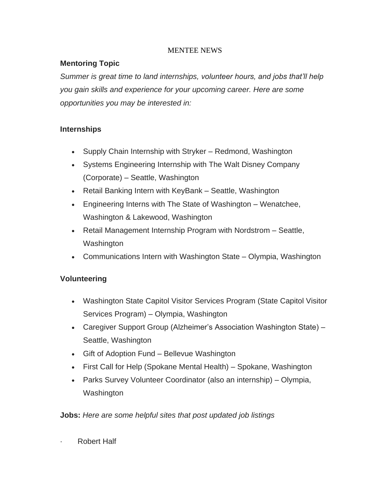### MENTEE NEWS

## **Mentoring Topic**

*Summer is great time to land internships, volunteer hours, and jobs that'll help you gain skills and experience for your upcoming career. Here are some opportunities you may be interested in:*

## **Internships**

- Supply Chain Internship with Stryker Redmond, Washington
- Systems Engineering Internship with The Walt Disney Company (Corporate) – Seattle, Washington
- Retail Banking Intern with KeyBank Seattle, Washington
- Engineering Interns with The State of Washington Wenatchee, Washington & Lakewood, Washington
- Retail Management Internship Program with Nordstrom Seattle, Washington
- Communications Intern with Washington State Olympia, Washington

### **Volunteering**

- Washington State Capitol Visitor Services Program (State Capitol Visitor Services Program) – Olympia, Washington
- Caregiver Support Group (Alzheimer's Association Washington State) Seattle, Washington
- Gift of Adoption Fund Bellevue Washington
- First Call for Help (Spokane Mental Health) Spokane, Washington
- Parks Survey Volunteer Coordinator (also an internship) Olympia, **Washington**

**Jobs:** *Here are some helpful sites that post updated job listings*

**Robert Half**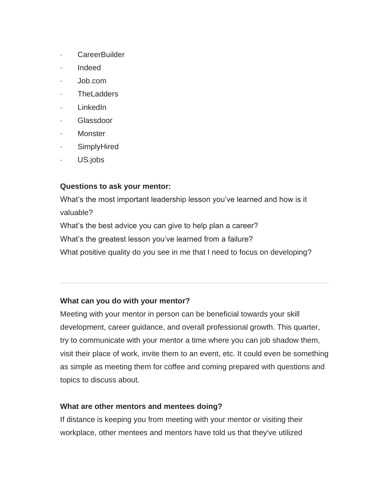- · CareerBuilder
- · Indeed
- · Job.com
- **TheLadders**
- · LinkedIn
- · Glassdoor
- **Monster**
- **SimplyHired**
- US.jobs

## **Questions to ask your mentor:**

What's the most important leadership lesson you've learned and how is it valuable? What's the best advice you can give to help plan a career? What's the greatest lesson you've learned from a failure?

What positive quality do you see in me that I need to focus on developing?

# **What can you do with your mentor?**

Meeting with your mentor in person can be beneficial towards your skill development, career guidance, and overall professional growth. This quarter, try to communicate with your mentor a time where you can job shadow them, visit their place of work, invite them to an event, etc. It could even be something as simple as meeting them for coffee and coming prepared with questions and topics to discuss about.

# **What are other mentors and mentees doing?**

If distance is keeping you from meeting with your mentor or visiting their workplace, other mentees and mentors have told us that they've utilized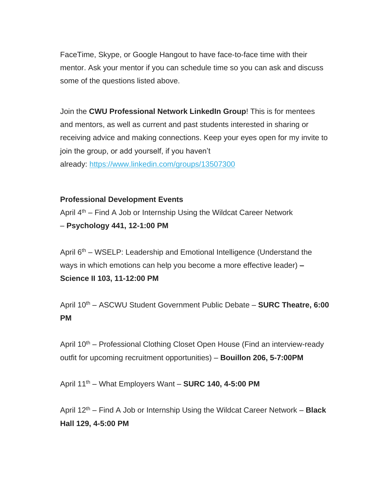FaceTime, Skype, or Google Hangout to have face-to-face time with their mentor. Ask your mentor if you can schedule time so you can ask and discuss some of the questions listed above.

Join the **CWU Professional Network LinkedIn Group**! This is for mentees and mentors, as well as current and past students interested in sharing or receiving advice and making connections. Keep your eyes open for my invite to join the group, or add yourself, if you haven't already: <https://www.linkedin.com/groups/13507300>

#### **Professional Development Events**

April  $4<sup>th</sup>$  – Find A Job or Internship Using the Wildcat Career Network – **Psychology 441, 12-1:00 PM**

April 6<sup>th</sup> – WSELP: Leadership and Emotional Intelligence (Understand the ways in which emotions can help you become a more effective leader) **– Science II 103, 11-12:00 PM**

April 10th – ASCWU Student Government Public Debate – **SURC Theatre, 6:00 PM**

April 10<sup>th</sup> – Professional Clothing Closet Open House (Find an interview-ready outfit for upcoming recruitment opportunities) – **Bouillon 206, 5-7:00PM**

April 11th – What Employers Want – **SURC 140, 4-5:00 PM**

April 12th – Find A Job or Internship Using the Wildcat Career Network – **Black Hall 129, 4-5:00 PM**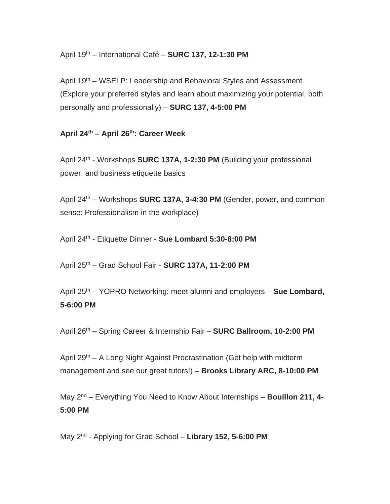April 19th – International Café – **SURC 137, 12-1:30 PM**

April 19th – WSELP: Leadership and Behavioral Styles and Assessment (Explore your preferred styles and learn about maximizing your potential, both personally and professionally) – **SURC 137, 4-5:00 PM**

#### **April 24th – April 26th: Career Week**

April 24<sup>th</sup> - Workshops **SURC 137A, 1-2:30 PM** (Building your professional power, and business etiquette basics

April 24th – Workshops **SURC 137A, 3-4:30 PM** (Gender, power, and common sense: Professionalism in the workplace)

April 24th - Etiquette Dinner - **Sue Lombard 5:30-8:00 PM**

April 25th – Grad School Fair - **SURC 137A, 11-2:00 PM**

April 25th – YOPRO Networking: meet alumni and employers – **Sue Lombard, 5-6:00 PM**

April 26th – Spring Career & Internship Fair – **SURC Ballroom, 10-2:00 PM**

April 29<sup>th</sup> – A Long Night Against Procrastination (Get help with midterm management and see our great tutors!) – **Brooks Library ARC, 8-10:00 PM**

May 2nd – Everything You Need to Know About Internships – **Bouillon 211, 4- 5:00 PM**

May 2nd - Applying for Grad School – **Library 152, 5-6:00 PM**